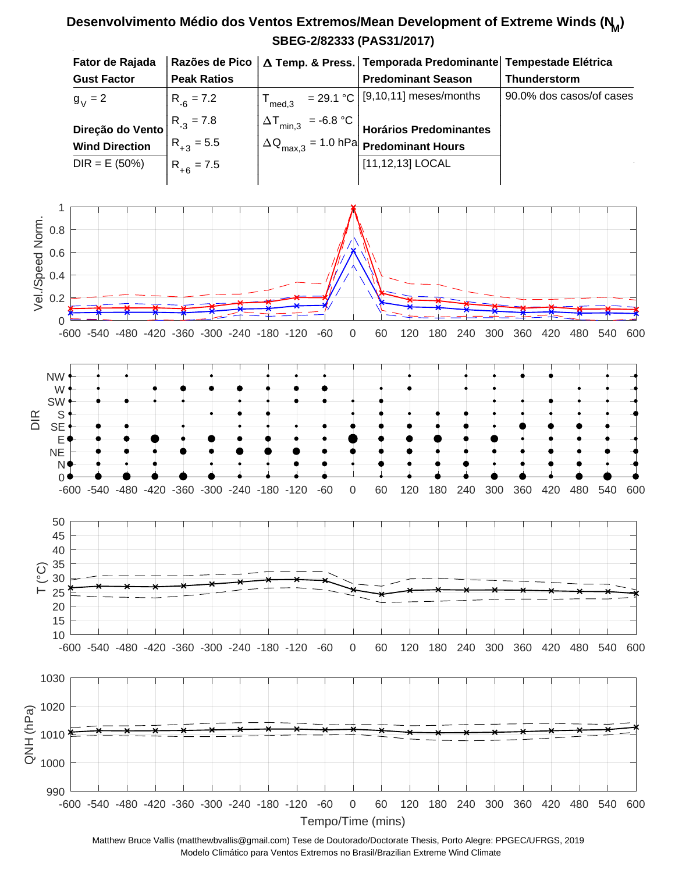## **SBEG-2/82333 (PAS31/2017) Desenvolvimento Médio dos Ventos Extremos/Mean Development of Extreme Winds (N<sup>M</sup> )**



Matthew Bruce Vallis (matthewbvallis@gmail.com) Tese de Doutorado/Doctorate Thesis, Porto Alegre: PPGEC/UFRGS, 2019 Modelo Climático para Ventos Extremos no Brasil/Brazilian Extreme Wind Climate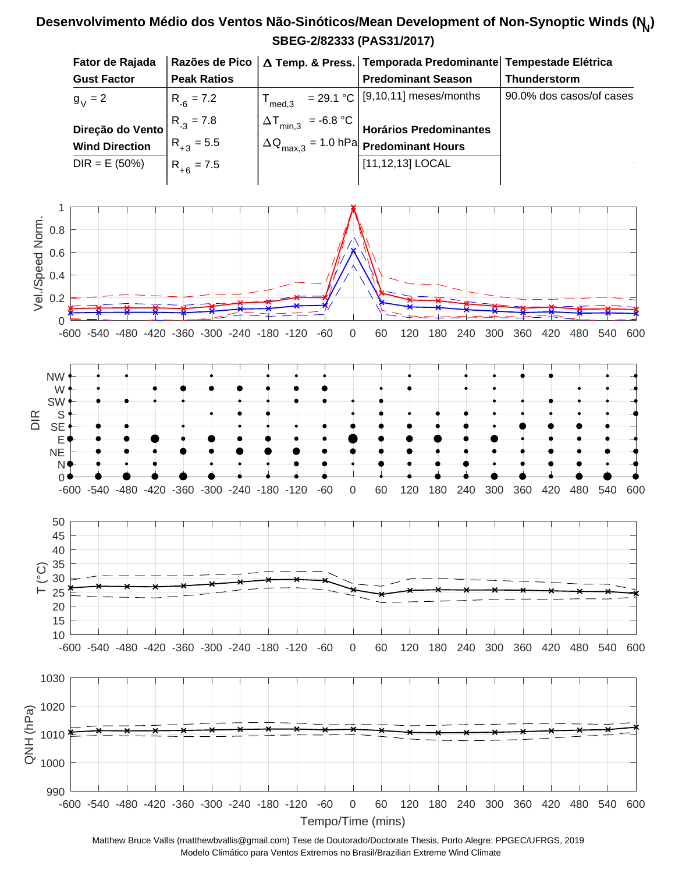## **SBEG-2/82333 (PAS31/2017) Desenvolvimento Médio dos Ventos Não-Sinóticos/Mean Development of Non-Synoptic Winds (N<sup>N</sup> )**



Matthew Bruce Vallis (matthewbvallis@gmail.com) Tese de Doutorado/Doctorate Thesis, Porto Alegre: PPGEC/UFRGS, 2019 Modelo Climático para Ventos Extremos no Brasil/Brazilian Extreme Wind Climate